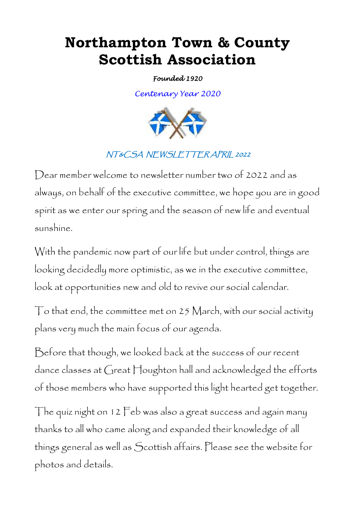## **Northampton Town & County Scottish Association**

*Founded 1920* 

*Centenary Year 2020*



## NT&CSA NEWSLETTER APRIL 2022

Dear member welcome to newsletter number two of 2022 and as always, on behalf of the executive committee, we hope you are in good spirit as we enter our spring and the season of new life and eventual sunshine.

With the pandemic now part of our life but under control, things are looking decidedly more optimistic, as we in the executive committee, look at opportunities new and old to revive our social calendar.

 $\top$ o that end, the committee met on 25 March, with our social activity plans very much the main focus of our agenda.

Before that though, we looked back at the success of our recent dance classes at Great Houghton hall and acknowledged the efforts of those members who have supported this light hearted get together.

The quiz night on 12 Feb was also a great success and again many thanks to all who came along and expanded their knowledge of all things general as well as Scottish affairs. Please see the website for photos and details.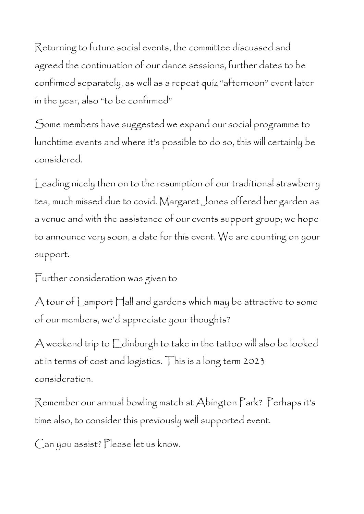Returning to future social events, the committee discussed and agreed the continuation of our dance sessions, further dates to be confirmed separately, as well as a repeat quiz "afternoon" event later in the year, also "to be confirmed"

Some members have suggested we expand our social programme to lunchtime events and where it"s possible to do so, this will certainly be considered.

Leading nicely then on to the resumption of our traditional strawberry tea, much missed due to covid. Margaret Jones offered her garden as a venue and with the assistance of our events support group; we hope to announce very soon, a date for this event. We are counting on your support.

Further consideration was given to

A tour of Lamport Hall and gardens which may be attractive to some of our members, we"d appreciate your thoughts?

A weekend trip to Edinburgh to take in the tattoo will also be looked at in terms of cost and logistics. This is a long term 2023 consideration.

Remember our annual bowling match at Abington Park? Perhaps it"s time also, to consider this previously well supported event.

Can you assist? Please let us know.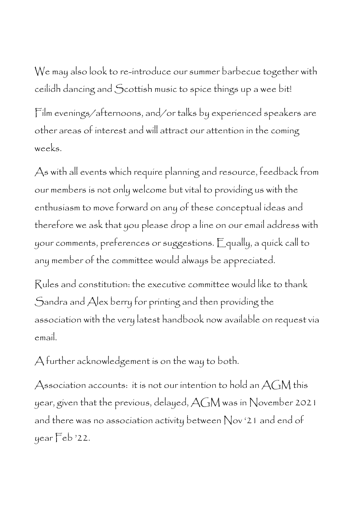We may also look to re-introduce our summer barbecue together with ceilidh dancing and Scottish music to spice things up a wee bit!

Film evenings/afternoons, and/or talks by experienced speakers are other areas of interest and will attract our attention in the coming weeks.

As with all events which require planning and resource, feedback from our members is not only welcome but vital to providing us with the enthusiasm to move forward on any of these conceptual ideas and therefore we ask that you please drop a line on our email address with your comments, preferences or suggestions. Equally, a quick call to any member of the committee would always be appreciated.

Rules and constitution: the executive committee would like to thank Sandra and Alex berry for printing and then providing the association with the very latest handbook now available on request via email.

A further acknowledgement is on the way to both.

Association accounts: it is not our intention to hold an  $AGM$  this year, given that the previous, delayed, AGM was in November 2021 and there was no association activity between Nov "21 and end of year Feb "22.